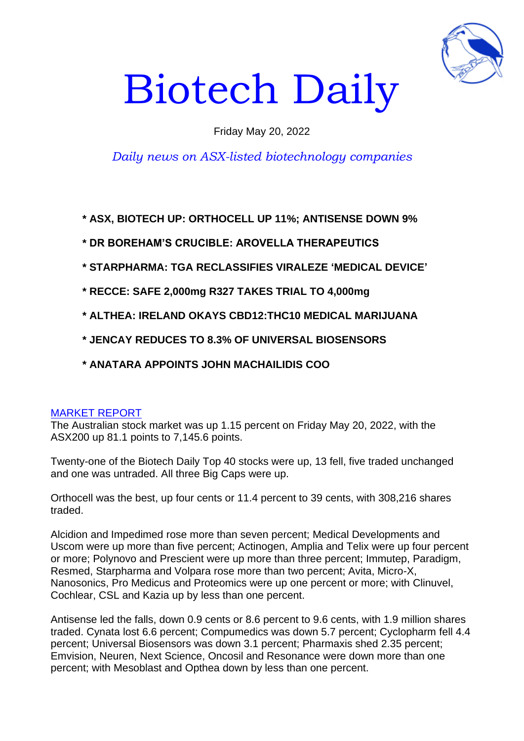

# Biotech Daily

# Friday May 20, 2022

# *Daily news on ASX-listed biotechnology companies*

**\* ASX, BIOTECH UP: ORTHOCELL UP 11%; ANTISENSE DOWN 9%**

**\* DR BOREHAM'S CRUCIBLE: AROVELLA THERAPEUTICS**

- **\* STARPHARMA: TGA RECLASSIFIES VIRALEZE 'MEDICAL DEVICE'**
- **\* RECCE: SAFE 2,000mg R327 TAKES TRIAL TO 4,000mg**
- **\* ALTHEA: IRELAND OKAYS CBD12:THC10 MEDICAL MARIJUANA**

**\* JENCAY REDUCES TO 8.3% OF UNIVERSAL BIOSENSORS**

**\* ANATARA APPOINTS JOHN MACHAILIDIS COO**

# MARKET REPORT

The Australian stock market was up 1.15 percent on Friday May 20, 2022, with the ASX200 up 81.1 points to 7,145.6 points.

Twenty-one of the Biotech Daily Top 40 stocks were up, 13 fell, five traded unchanged and one was untraded. All three Big Caps were up.

Orthocell was the best, up four cents or 11.4 percent to 39 cents, with 308,216 shares traded.

Alcidion and Impedimed rose more than seven percent; Medical Developments and Uscom were up more than five percent; Actinogen, Amplia and Telix were up four percent or more; Polynovo and Prescient were up more than three percent; Immutep, Paradigm, Resmed, Starpharma and Volpara rose more than two percent; Avita, Micro-X, Nanosonics, Pro Medicus and Proteomics were up one percent or more; with Clinuvel, Cochlear, CSL and Kazia up by less than one percent.

Antisense led the falls, down 0.9 cents or 8.6 percent to 9.6 cents, with 1.9 million shares traded. Cynata lost 6.6 percent; Compumedics was down 5.7 percent; Cyclopharm fell 4.4 percent; Universal Biosensors was down 3.1 percent; Pharmaxis shed 2.35 percent; Emvision, Neuren, Next Science, Oncosil and Resonance were down more than one percent; with Mesoblast and Opthea down by less than one percent.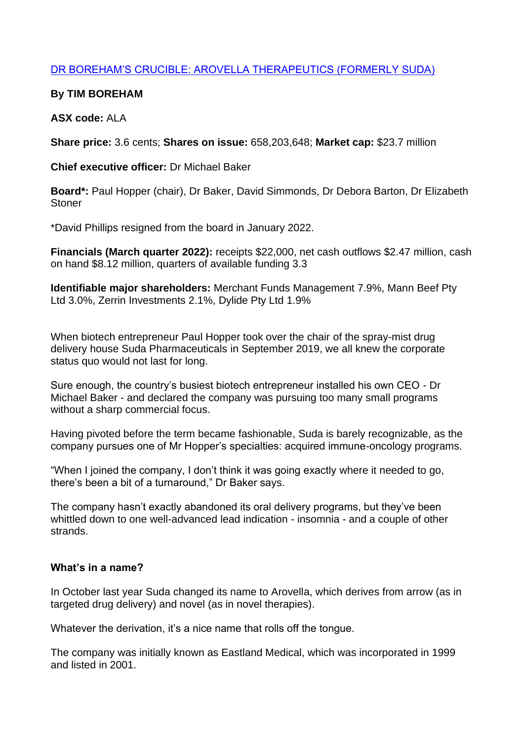# DR BOREHAM'S CRUCIBLE: AROVELLA THERAPEUTICS (FORMERLY SUDA)

# **By TIM BOREHAM**

# **ASX code:** ALA

**Share price:** 3.6 cents; **Shares on issue:** 658,203,648; **Market cap:** \$23.7 million

**Chief executive officer:** Dr Michael Baker

**Board\*:** Paul Hopper (chair), Dr Baker, David Simmonds, Dr Debora Barton, Dr Elizabeth **Stoner** 

\*David Phillips resigned from the board in January 2022.

**Financials (March quarter 2022):** receipts \$22,000, net cash outflows \$2.47 million, cash on hand \$8.12 million, quarters of available funding 3.3

**Identifiable major shareholders:** Merchant Funds Management 7.9%, Mann Beef Pty Ltd 3.0%, Zerrin Investments 2.1%, Dylide Pty Ltd 1.9%

When biotech entrepreneur Paul Hopper took over the chair of the spray-mist drug delivery house Suda Pharmaceuticals in September 2019, we all knew the corporate status quo would not last for long.

Sure enough, the country's busiest biotech entrepreneur installed his own CEO - Dr Michael Baker - and declared the company was pursuing too many small programs without a sharp commercial focus.

Having pivoted before the term became fashionable, Suda is barely recognizable, as the company pursues one of Mr Hopper's specialties: acquired immune-oncology programs.

"When I joined the company, I don't think it was going exactly where it needed to go, there's been a bit of a turnaround," Dr Baker says.

The company hasn't exactly abandoned its oral delivery programs, but they've been whittled down to one well-advanced lead indication - insomnia - and a couple of other strands.

## **What's in a name?**

In October last year Suda changed its name to Arovella, which derives from arrow (as in targeted drug delivery) and novel (as in novel therapies).

Whatever the derivation, it's a nice name that rolls off the tongue.

The company was initially known as Eastland Medical, which was incorporated in 1999 and listed in 2001.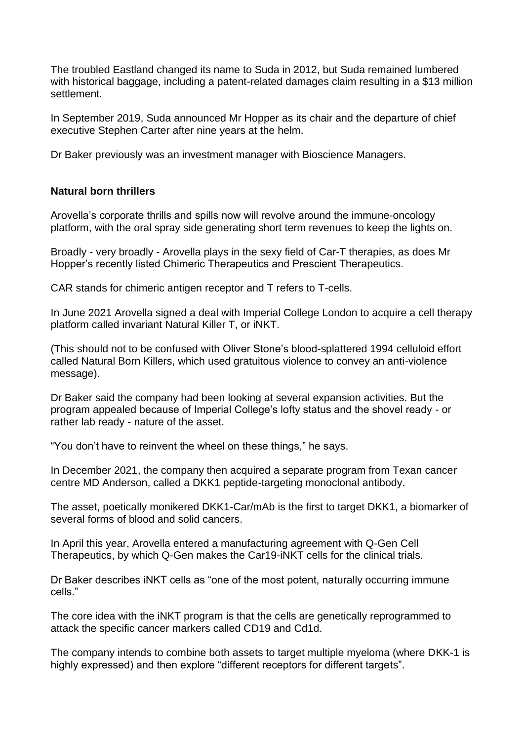The troubled Eastland changed its name to Suda in 2012, but Suda remained lumbered with historical baggage, including a patent-related damages claim resulting in a \$13 million settlement.

In September 2019, Suda announced Mr Hopper as its chair and the departure of chief executive Stephen Carter after nine years at the helm.

Dr Baker previously was an investment manager with Bioscience Managers.

# **Natural born thrillers**

Arovella's corporate thrills and spills now will revolve around the immune-oncology platform, with the oral spray side generating short term revenues to keep the lights on.

Broadly - very broadly - Arovella plays in the sexy field of Car-T therapies, as does Mr Hopper's recently listed Chimeric Therapeutics and Prescient Therapeutics.

CAR stands for chimeric antigen receptor and T refers to T-cells.

In June 2021 Arovella signed a deal with Imperial College London to acquire a cell therapy platform called invariant Natural Killer T, or iNKT.

(This should not to be confused with Oliver Stone's blood-splattered 1994 celluloid effort called Natural Born Killers, which used gratuitous violence to convey an anti-violence message).

Dr Baker said the company had been looking at several expansion activities. But the program appealed because of Imperial College's lofty status and the shovel ready - or rather lab ready - nature of the asset.

"You don't have to reinvent the wheel on these things," he says.

In December 2021, the company then acquired a separate program from Texan cancer centre MD Anderson, called a DKK1 peptide-targeting monoclonal antibody.

The asset, poetically monikered DKK1-Car/mAb is the first to target DKK1, a biomarker of several forms of blood and solid cancers.

In April this year, Arovella entered a manufacturing agreement with Q-Gen Cell Therapeutics, by which Q-Gen makes the Car19-iNKT cells for the clinical trials.

Dr Baker describes iNKT cells as "one of the most potent, naturally occurring immune cells."

The core idea with the iNKT program is that the cells are genetically reprogrammed to attack the specific cancer markers called CD19 and Cd1d.

The company intends to combine both assets to target multiple myeloma (where DKK-1 is highly expressed) and then explore "different receptors for different targets".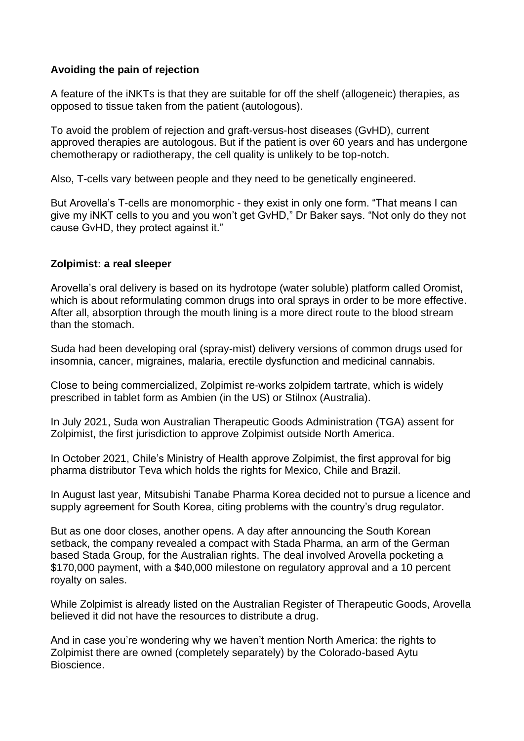# **Avoiding the pain of rejection**

A feature of the iNKTs is that they are suitable for off the shelf (allogeneic) therapies, as opposed to tissue taken from the patient (autologous).

To avoid the problem of rejection and graft-versus-host diseases (GvHD), current approved therapies are autologous. But if the patient is over 60 years and has undergone chemotherapy or radiotherapy, the cell quality is unlikely to be top-notch.

Also, T-cells vary between people and they need to be genetically engineered.

But Arovella's T-cells are monomorphic - they exist in only one form. "That means I can give my iNKT cells to you and you won't get GvHD," Dr Baker says. "Not only do they not cause GvHD, they protect against it."

## **Zolpimist: a real sleeper**

Arovella's oral delivery is based on its hydrotope (water soluble) platform called Oromist, which is about reformulating common drugs into oral sprays in order to be more effective. After all, absorption through the mouth lining is a more direct route to the blood stream than the stomach.

Suda had been developing oral (spray-mist) delivery versions of common drugs used for insomnia, cancer, migraines, malaria, erectile dysfunction and medicinal cannabis.

Close to being commercialized, Zolpimist re-works zolpidem tartrate, which is widely prescribed in tablet form as Ambien (in the US) or Stilnox (Australia).

In July 2021, Suda won Australian Therapeutic Goods Administration (TGA) assent for Zolpimist, the first jurisdiction to approve Zolpimist outside North America.

In October 2021, Chile's Ministry of Health approve Zolpimist, the first approval for big pharma distributor Teva which holds the rights for Mexico, Chile and Brazil.

In August last year, Mitsubishi Tanabe Pharma Korea decided not to pursue a licence and supply agreement for South Korea, citing problems with the country's drug regulator.

But as one door closes, another opens. A day after announcing the South Korean setback, the company revealed a compact with Stada Pharma, an arm of the German based Stada Group, for the Australian rights. The deal involved Arovella pocketing a \$170,000 payment, with a \$40,000 milestone on regulatory approval and a 10 percent royalty on sales.

While Zolpimist is already listed on the Australian Register of Therapeutic Goods, Arovella believed it did not have the resources to distribute a drug.

And in case you're wondering why we haven't mention North America: the rights to Zolpimist there are owned (completely separately) by the Colorado-based Aytu Bioscience.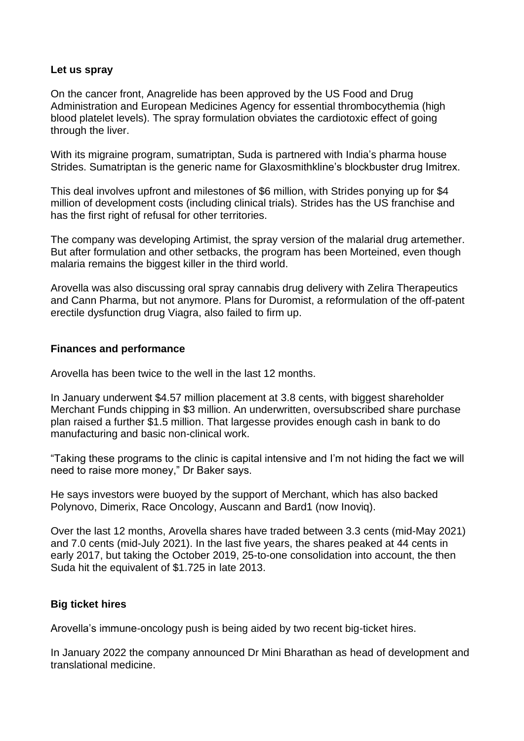#### **Let us spray**

On the cancer front, Anagrelide has been approved by the US Food and Drug Administration and European Medicines Agency for essential thrombocythemia (high blood platelet levels). The spray formulation obviates the cardiotoxic effect of going through the liver.

With its migraine program, sumatriptan, Suda is partnered with India's pharma house Strides. Sumatriptan is the generic name for Glaxosmithkline's blockbuster drug Imitrex.

This deal involves upfront and milestones of \$6 million, with Strides ponying up for \$4 million of development costs (including clinical trials). Strides has the US franchise and has the first right of refusal for other territories.

The company was developing Artimist, the spray version of the malarial drug artemether. But after formulation and other setbacks, the program has been Morteined, even though malaria remains the biggest killer in the third world.

Arovella was also discussing oral spray cannabis drug delivery with Zelira Therapeutics and Cann Pharma, but not anymore. Plans for Duromist, a reformulation of the off-patent erectile dysfunction drug Viagra, also failed to firm up.

#### **Finances and performance**

Arovella has been twice to the well in the last 12 months.

In January underwent \$4.57 million placement at 3.8 cents, with biggest shareholder Merchant Funds chipping in \$3 million. An underwritten, oversubscribed share purchase plan raised a further \$1.5 million. That largesse provides enough cash in bank to do manufacturing and basic non-clinical work.

"Taking these programs to the clinic is capital intensive and I'm not hiding the fact we will need to raise more money," Dr Baker says.

He says investors were buoyed by the support of Merchant, which has also backed Polynovo, Dimerix, Race Oncology, Auscann and Bard1 (now Inoviq).

Over the last 12 months, Arovella shares have traded between 3.3 cents (mid-May 2021) and 7.0 cents (mid-July 2021). In the last five years, the shares peaked at 44 cents in early 2017, but taking the October 2019, 25-to-one consolidation into account, the then Suda hit the equivalent of \$1.725 in late 2013.

## **Big ticket hires**

Arovella's immune-oncology push is being aided by two recent big-ticket hires.

In January 2022 the company announced Dr Mini Bharathan as head of development and translational medicine.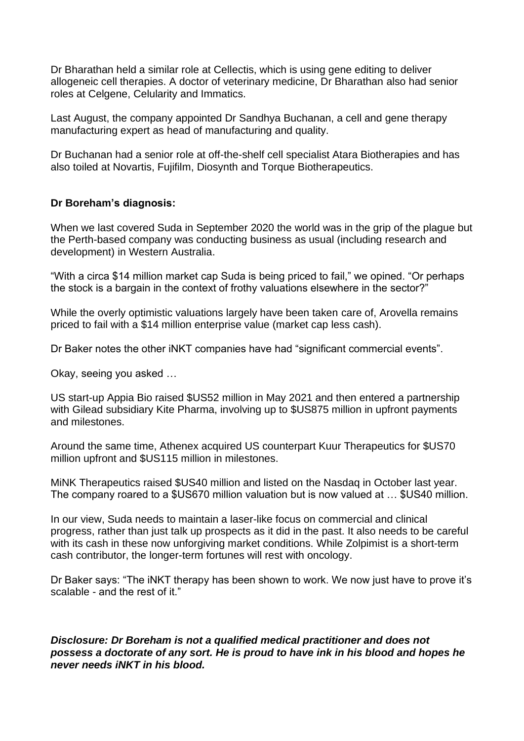Dr Bharathan held a similar role at Cellectis, which is using gene editing to deliver allogeneic cell therapies. A doctor of veterinary medicine, Dr Bharathan also had senior roles at Celgene, Celularity and Immatics.

Last August, the company appointed Dr Sandhya Buchanan, a cell and gene therapy manufacturing expert as head of manufacturing and quality.

Dr Buchanan had a senior role at off-the-shelf cell specialist Atara Biotherapies and has also toiled at Novartis, Fujifilm, Diosynth and Torque Biotherapeutics.

## **Dr Boreham's diagnosis:**

When we last covered Suda in September 2020 the world was in the grip of the plague but the Perth-based company was conducting business as usual (including research and development) in Western Australia.

"With a circa \$14 million market cap Suda is being priced to fail," we opined. "Or perhaps the stock is a bargain in the context of frothy valuations elsewhere in the sector?"

While the overly optimistic valuations largely have been taken care of, Arovella remains priced to fail with a \$14 million enterprise value (market cap less cash).

Dr Baker notes the other iNKT companies have had "significant commercial events".

Okay, seeing you asked …

US start-up Appia Bio raised \$US52 million in May 2021 and then entered a partnership with Gilead subsidiary Kite Pharma, involving up to \$US875 million in upfront payments and milestones.

Around the same time, Athenex acquired US counterpart Kuur Therapeutics for \$US70 million upfront and \$US115 million in milestones.

MiNK Therapeutics raised \$US40 million and listed on the Nasdaq in October last year. The company roared to a \$US670 million valuation but is now valued at … \$US40 million.

In our view, Suda needs to maintain a laser-like focus on commercial and clinical progress, rather than just talk up prospects as it did in the past. It also needs to be careful with its cash in these now unforgiving market conditions. While Zolpimist is a short-term cash contributor, the longer-term fortunes will rest with oncology.

Dr Baker says: "The iNKT therapy has been shown to work. We now just have to prove it's scalable - and the rest of it."

## *Disclosure: Dr Boreham is not a qualified medical practitioner and does not possess a doctorate of any sort. He is proud to have ink in his blood and hopes he never needs iNKT in his blood.*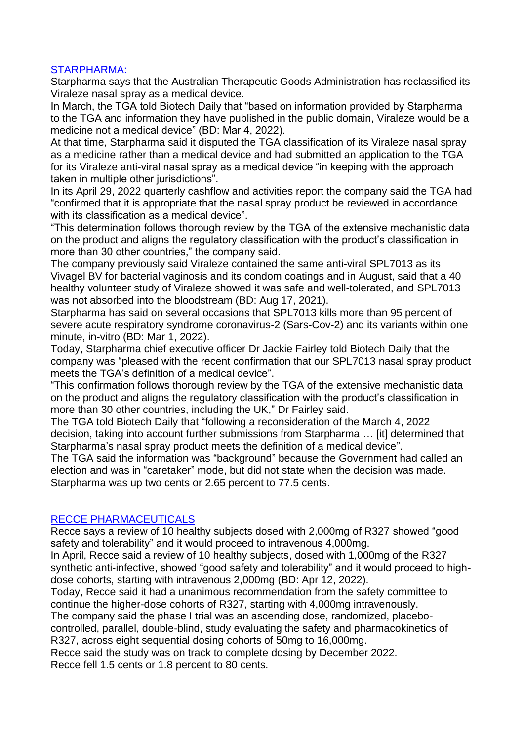# STARPHARMA:

Starpharma says that the Australian Therapeutic Goods Administration has reclassified its Viraleze nasal spray as a medical device.

In March, the TGA told Biotech Daily that "based on information provided by Starpharma to the TGA and information they have published in the public domain, Viraleze would be a medicine not a medical device" (BD: Mar 4, 2022).

At that time, Starpharma said it disputed the TGA classification of its Viraleze nasal spray as a medicine rather than a medical device and had submitted an application to the TGA for its Viraleze anti-viral nasal spray as a medical device "in keeping with the approach taken in multiple other jurisdictions".

In its April 29, 2022 quarterly cashflow and activities report the company said the TGA had "confirmed that it is appropriate that the nasal spray product be reviewed in accordance with its classification as a medical device".

"This determination follows thorough review by the TGA of the extensive mechanistic data on the product and aligns the regulatory classification with the product's classification in more than 30 other countries," the company said.

The company previously said Viraleze contained the same anti-viral SPL7013 as its Vivagel BV for bacterial vaginosis and its condom coatings and in August, said that a 40 healthy volunteer study of Viraleze showed it was safe and well-tolerated, and SPL7013 was not absorbed into the bloodstream (BD: Aug 17, 2021).

Starpharma has said on several occasions that SPL7013 kills more than 95 percent of severe acute respiratory syndrome coronavirus-2 (Sars-Cov-2) and its variants within one minute, in-vitro (BD: Mar 1, 2022).

Today, Starpharma chief executive officer Dr Jackie Fairley told Biotech Daily that the company was "pleased with the recent confirmation that our SPL7013 nasal spray product meets the TGA's definition of a medical device".

"This confirmation follows thorough review by the TGA of the extensive mechanistic data on the product and aligns the regulatory classification with the product's classification in more than 30 other countries, including the UK," Dr Fairley said.

The TGA told Biotech Daily that "following a reconsideration of the March 4, 2022 decision, taking into account further submissions from Starpharma … [it] determined that Starpharma's nasal spray product meets the definition of a medical device".

The TGA said the information was "background" because the Government had called an election and was in "caretaker" mode, but did not state when the decision was made. Starpharma was up two cents or 2.65 percent to 77.5 cents.

## RECCE PHARMACEUTICALS

Recce says a review of 10 healthy subjects dosed with 2,000mg of R327 showed "good safety and tolerability" and it would proceed to intravenous 4,000mg.

In April, Recce said a review of 10 healthy subjects, dosed with 1,000mg of the R327 synthetic anti-infective, showed "good safety and tolerability" and it would proceed to highdose cohorts, starting with intravenous 2,000mg (BD: Apr 12, 2022).

Today, Recce said it had a unanimous recommendation from the safety committee to continue the higher-dose cohorts of R327, starting with 4,000mg intravenously.

The company said the phase I trial was an ascending dose, randomized, placebocontrolled, parallel, double-blind, study evaluating the safety and pharmacokinetics of R327, across eight sequential dosing cohorts of 50mg to 16,000mg.

Recce said the study was on track to complete dosing by December 2022. Recce fell 1.5 cents or 1.8 percent to 80 cents.